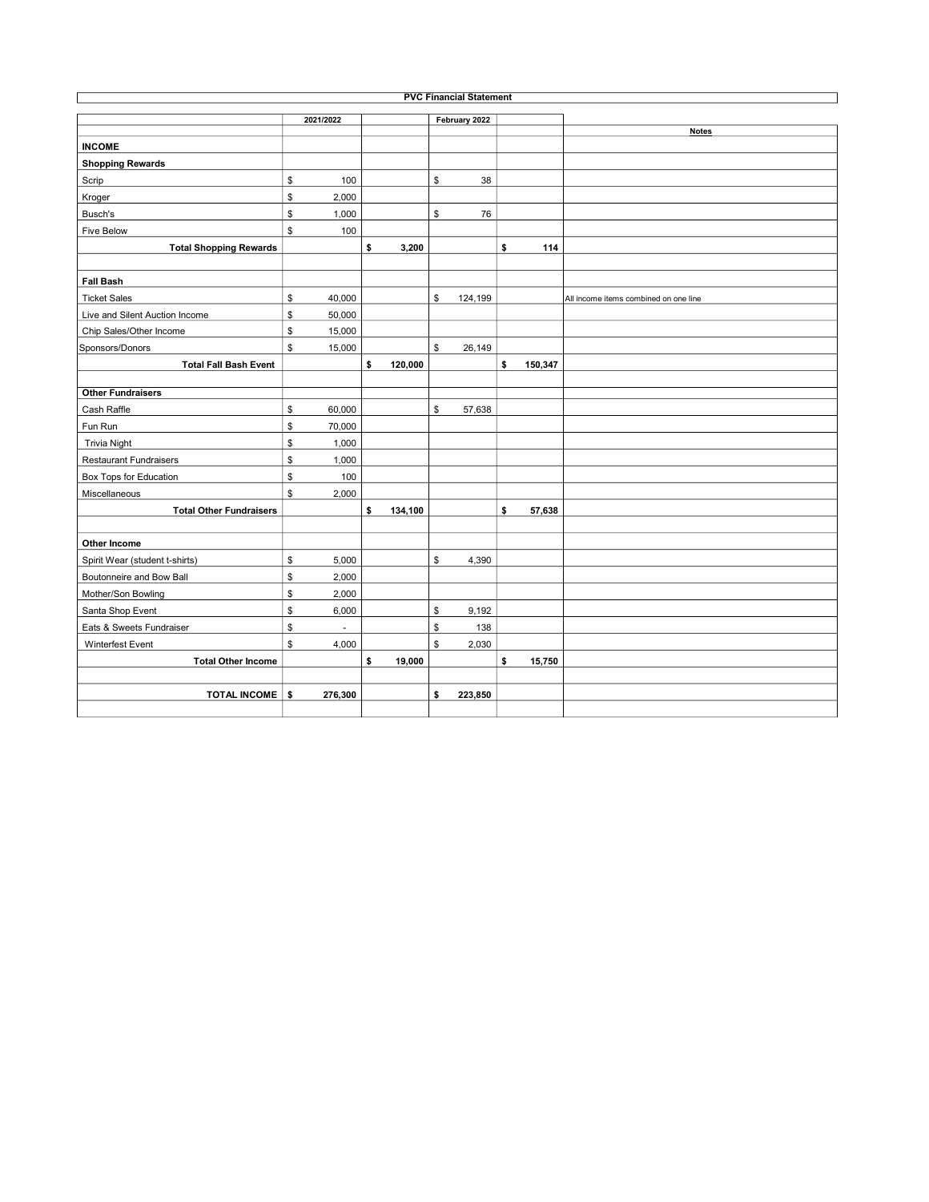| <b>PVC Financial Statement</b> |           |                |    |         |               |         |    |         |                                       |  |  |
|--------------------------------|-----------|----------------|----|---------|---------------|---------|----|---------|---------------------------------------|--|--|
|                                | 2021/2022 |                |    |         | February 2022 |         |    |         |                                       |  |  |
|                                |           |                |    |         |               |         |    |         | <b>Notes</b>                          |  |  |
| <b>INCOME</b>                  |           |                |    |         |               |         |    |         |                                       |  |  |
| <b>Shopping Rewards</b>        |           |                |    |         |               |         |    |         |                                       |  |  |
| Scrip                          | \$        | 100            |    |         | \$            | 38      |    |         |                                       |  |  |
| Kroger                         | \$        | 2,000          |    |         |               |         |    |         |                                       |  |  |
| Busch's                        | \$        | 1,000          |    |         | \$            | 76      |    |         |                                       |  |  |
| Five Below                     | \$        | 100            |    |         |               |         |    |         |                                       |  |  |
| <b>Total Shopping Rewards</b>  |           |                | \$ | 3,200   |               |         | \$ | 114     |                                       |  |  |
|                                |           |                |    |         |               |         |    |         |                                       |  |  |
| <b>Fall Bash</b>               |           |                |    |         |               |         |    |         |                                       |  |  |
| <b>Ticket Sales</b>            | \$        | 40,000         |    |         | \$            | 124,199 |    |         | All income items combined on one line |  |  |
| Live and Silent Auction Income | \$        | 50,000         |    |         |               |         |    |         |                                       |  |  |
| Chip Sales/Other Income        | \$        | 15,000         |    |         |               |         |    |         |                                       |  |  |
| Sponsors/Donors                | \$        | 15,000         |    |         | \$            | 26,149  |    |         |                                       |  |  |
| <b>Total Fall Bash Event</b>   |           |                | \$ | 120,000 |               |         | \$ | 150,347 |                                       |  |  |
|                                |           |                |    |         |               |         |    |         |                                       |  |  |
| <b>Other Fundraisers</b>       |           |                |    |         |               |         |    |         |                                       |  |  |
| Cash Raffle                    | \$        | 60,000         |    |         | \$            | 57,638  |    |         |                                       |  |  |
| Fun Run                        | \$        | 70,000         |    |         |               |         |    |         |                                       |  |  |
| <b>Trivia Night</b>            | \$        | 1,000          |    |         |               |         |    |         |                                       |  |  |
| <b>Restaurant Fundraisers</b>  | \$        | 1,000          |    |         |               |         |    |         |                                       |  |  |
| Box Tops for Education         | \$        | 100            |    |         |               |         |    |         |                                       |  |  |
| Miscellaneous                  | \$        | 2,000          |    |         |               |         |    |         |                                       |  |  |
| <b>Total Other Fundraisers</b> |           |                | \$ | 134,100 |               |         | \$ | 57,638  |                                       |  |  |
|                                |           |                |    |         |               |         |    |         |                                       |  |  |
| Other Income                   |           |                |    |         |               |         |    |         |                                       |  |  |
| Spirit Wear (student t-shirts) | \$        | 5,000          |    |         | \$            | 4,390   |    |         |                                       |  |  |
| Boutonneire and Bow Ball       | \$        | 2,000          |    |         |               |         |    |         |                                       |  |  |
| Mother/Son Bowling             | \$        | 2,000          |    |         |               |         |    |         |                                       |  |  |
| Santa Shop Event               | \$        | 6,000          |    |         | \$            | 9,192   |    |         |                                       |  |  |
| Eats & Sweets Fundraiser       | \$        | $\blacksquare$ |    |         | \$            | 138     |    |         |                                       |  |  |
| Winterfest Event               | \$        | 4,000          |    |         | \$            | 2,030   |    |         |                                       |  |  |
| <b>Total Other Income</b>      |           |                | \$ | 19,000  |               |         | \$ | 15,750  |                                       |  |  |
|                                |           |                |    |         |               |         |    |         |                                       |  |  |
| TOTAL INCOME \$                |           | 276,300        |    |         | \$            | 223,850 |    |         |                                       |  |  |
|                                |           |                |    |         |               |         |    |         |                                       |  |  |